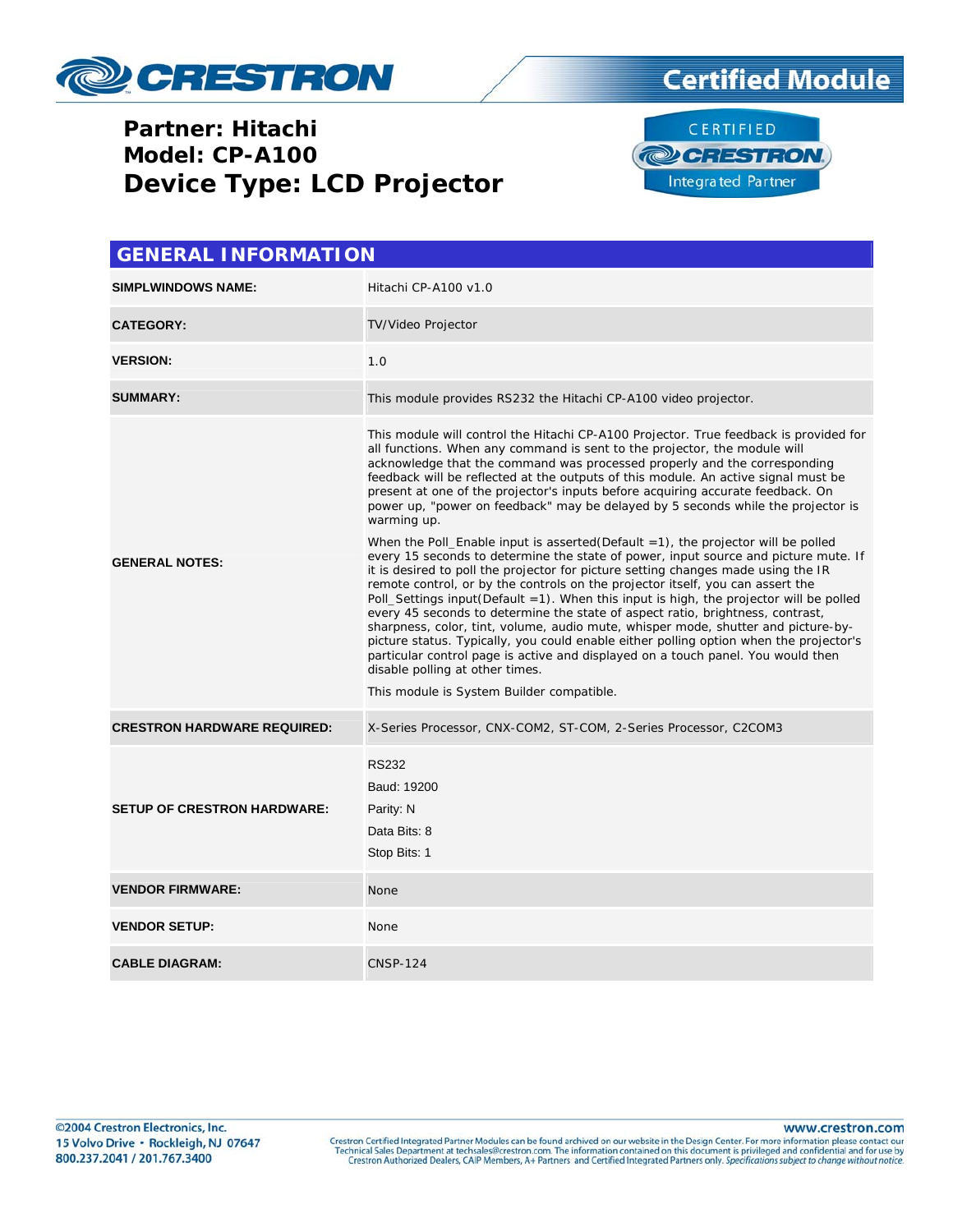

## **Partner: Hitachi Model: CP-A100 Device Type: LCD Projector**





| <b>GENERAL INFORMATION</b>         |                                                                                                                                                                                                                                                                                                                                                                                                                                                                                                                                                                                                                                                                                                                                                                                                                                                                                                                                                                                                                                                                                                                                                                                                                                                                                                                                                                                                                 |  |  |  |
|------------------------------------|-----------------------------------------------------------------------------------------------------------------------------------------------------------------------------------------------------------------------------------------------------------------------------------------------------------------------------------------------------------------------------------------------------------------------------------------------------------------------------------------------------------------------------------------------------------------------------------------------------------------------------------------------------------------------------------------------------------------------------------------------------------------------------------------------------------------------------------------------------------------------------------------------------------------------------------------------------------------------------------------------------------------------------------------------------------------------------------------------------------------------------------------------------------------------------------------------------------------------------------------------------------------------------------------------------------------------------------------------------------------------------------------------------------------|--|--|--|
| <b>SIMPLWINDOWS NAME:</b>          | Hitachi CP-A100 v1.0                                                                                                                                                                                                                                                                                                                                                                                                                                                                                                                                                                                                                                                                                                                                                                                                                                                                                                                                                                                                                                                                                                                                                                                                                                                                                                                                                                                            |  |  |  |
| <b>CATEGORY:</b>                   | TV/Video Projector                                                                                                                                                                                                                                                                                                                                                                                                                                                                                                                                                                                                                                                                                                                                                                                                                                                                                                                                                                                                                                                                                                                                                                                                                                                                                                                                                                                              |  |  |  |
| <b>VERSION:</b>                    | 1.0                                                                                                                                                                                                                                                                                                                                                                                                                                                                                                                                                                                                                                                                                                                                                                                                                                                                                                                                                                                                                                                                                                                                                                                                                                                                                                                                                                                                             |  |  |  |
| <b>SUMMARY:</b>                    | This module provides RS232 the Hitachi CP-A100 video projector.                                                                                                                                                                                                                                                                                                                                                                                                                                                                                                                                                                                                                                                                                                                                                                                                                                                                                                                                                                                                                                                                                                                                                                                                                                                                                                                                                 |  |  |  |
| <b>GENERAL NOTES:</b>              | This module will control the Hitachi CP-A100 Projector. True feedback is provided for<br>all functions. When any command is sent to the projector, the module will<br>acknowledge that the command was processed properly and the corresponding<br>feedback will be reflected at the outputs of this module. An active signal must be<br>present at one of the projector's inputs before acquiring accurate feedback. On<br>power up, "power on feedback" may be delayed by 5 seconds while the projector is<br>warming up.<br>When the Poll_Enable input is asserted(Default $=1$ ), the projector will be polled<br>every 15 seconds to determine the state of power, input source and picture mute. If<br>it is desired to poll the projector for picture setting changes made using the IR<br>remote control, or by the controls on the projector itself, you can assert the<br>Poll_Settings input(Default =1). When this input is high, the projector will be polled<br>every 45 seconds to determine the state of aspect ratio, brightness, contrast,<br>sharpness, color, tint, volume, audio mute, whisper mode, shutter and picture-by-<br>picture status. Typically, you could enable either polling option when the projector's<br>particular control page is active and displayed on a touch panel. You would then<br>disable polling at other times.<br>This module is System Builder compatible. |  |  |  |
| <b>CRESTRON HARDWARE REQUIRED:</b> | X-Series Processor, CNX-COM2, ST-COM, 2-Series Processor, C2COM3                                                                                                                                                                                                                                                                                                                                                                                                                                                                                                                                                                                                                                                                                                                                                                                                                                                                                                                                                                                                                                                                                                                                                                                                                                                                                                                                                |  |  |  |
| <b>SETUP OF CRESTRON HARDWARE:</b> | <b>RS232</b><br>Baud: 19200<br>Parity: N<br>Data Bits: 8<br>Stop Bits: 1                                                                                                                                                                                                                                                                                                                                                                                                                                                                                                                                                                                                                                                                                                                                                                                                                                                                                                                                                                                                                                                                                                                                                                                                                                                                                                                                        |  |  |  |
| <b>VENDOR FIRMWARE:</b>            | None                                                                                                                                                                                                                                                                                                                                                                                                                                                                                                                                                                                                                                                                                                                                                                                                                                                                                                                                                                                                                                                                                                                                                                                                                                                                                                                                                                                                            |  |  |  |
| <b>VENDOR SETUP:</b>               | None                                                                                                                                                                                                                                                                                                                                                                                                                                                                                                                                                                                                                                                                                                                                                                                                                                                                                                                                                                                                                                                                                                                                                                                                                                                                                                                                                                                                            |  |  |  |
| <b>CABLE DIAGRAM:</b>              | <b>CNSP-124</b>                                                                                                                                                                                                                                                                                                                                                                                                                                                                                                                                                                                                                                                                                                                                                                                                                                                                                                                                                                                                                                                                                                                                                                                                                                                                                                                                                                                                 |  |  |  |

Crestron Certified Integrated Partner Modules can be found archived on our website in the Design Center. For more information please contact our Technical Sales Department at techsales@crestron.com. The information contain

www.crestron.com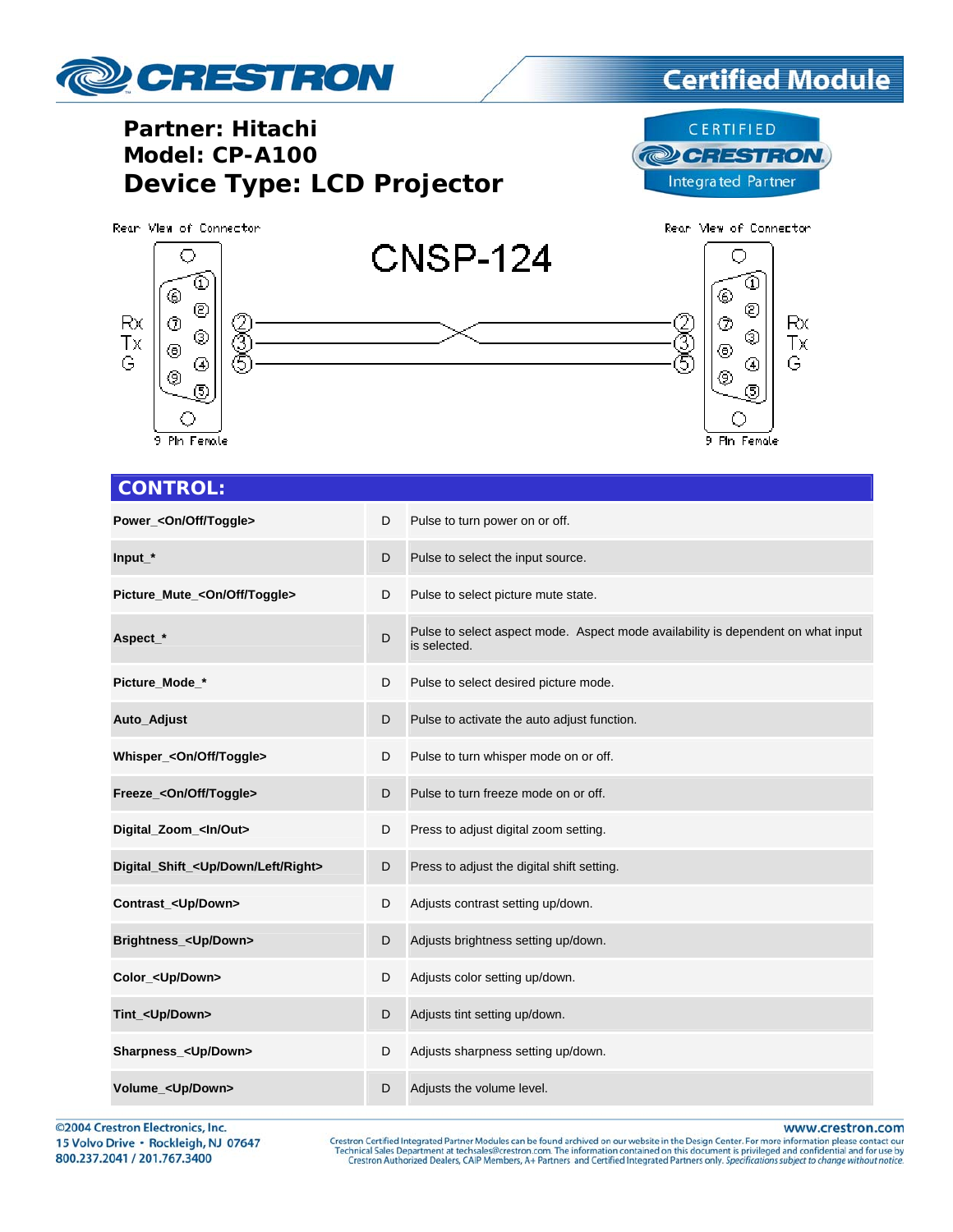

## **Certified Module**

## **Partner: Hitachi Model: CP-A100 Device Type: LCD Projector**

CERTIFIED **@CRESTRON Integrated Partner** 

Rear Mew of Connector Rean View of Connector **CNSP-124** O Ō จ ⊛ ⊛ ☺ © Rx Rx ⊚ Z<br>T ℗ 2<br>9 ۷ ⊚ Тx Тx ◉ ◉ G G ⊕ ④ ⊚ ◈  $(5)$ ග О O 9 Pln Female 9 Pin Female

#### **CONTROL:**

| Power_ <on off="" toggle=""></on>                 | D | Pulse to turn power on or off.                                                                   |
|---------------------------------------------------|---|--------------------------------------------------------------------------------------------------|
| $Input_*$                                         | D | Pulse to select the input source.                                                                |
| Picture_Mute_ <on off="" toggle=""></on>          | D | Pulse to select picture mute state.                                                              |
| Aspect_*                                          | D | Pulse to select aspect mode. Aspect mode availability is dependent on what input<br>is selected. |
| Picture Mode *                                    | D | Pulse to select desired picture mode.                                                            |
| Auto_Adjust                                       | D | Pulse to activate the auto adjust function.                                                      |
| Whisper_ <on off="" toggle=""></on>               | D | Pulse to turn whisper mode on or off.                                                            |
| Freeze_ <on off="" toggle=""></on>                | D | Pulse to turn freeze mode on or off.                                                             |
| Digital_Zoom_ <ln out=""></ln>                    | D | Press to adjust digital zoom setting.                                                            |
| Digital_Shift_ <up down="" left="" right=""></up> | D | Press to adjust the digital shift setting.                                                       |
| Contrast_ <up down=""></up>                       | D | Adjusts contrast setting up/down.                                                                |
| Brightness_ <up down=""></up>                     | D | Adjusts brightness setting up/down.                                                              |
| Color_ <up down=""></up>                          | D | Adjusts color setting up/down.                                                                   |
| Tint_ <up down=""></up>                           | D | Adjusts tint setting up/down.                                                                    |
| Sharpness_ <up down=""></up>                      | D | Adjusts sharpness setting up/down.                                                               |
| Volume_ <up down=""></up>                         | D | Adjusts the volume level.                                                                        |

©2004 Crestron Electronics, Inc. 15 Volvo Drive · Rockleigh, NJ 07647 800.237.2041 / 201.767.3400

www.crestron.com

Crestron Certified Integrated Partner Modules can be found archived on our website in the Design Center. For more information please contact our Technical Sales Department at techsales@crestron.com. The information contain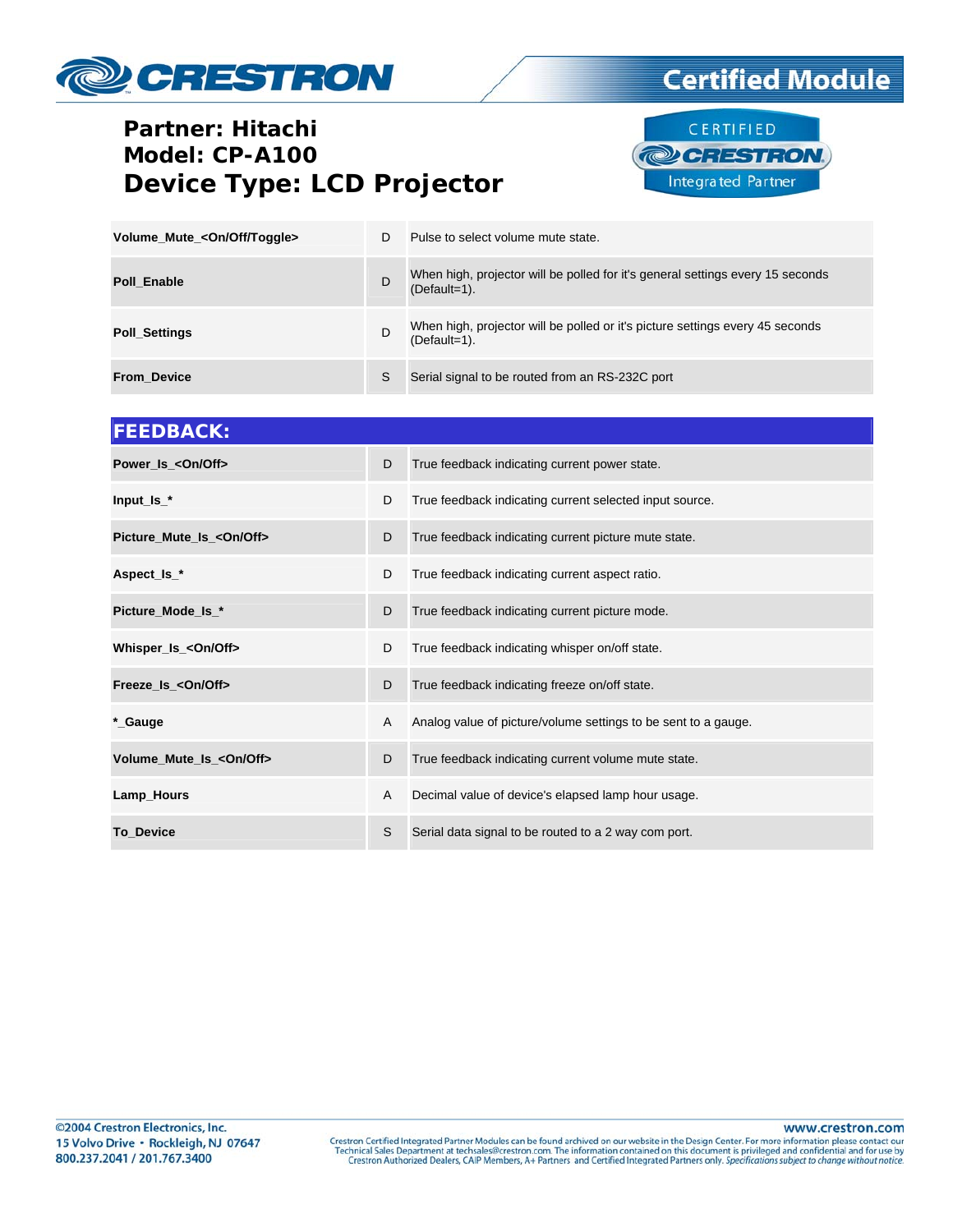# CRESTRON

## **Partner: Hitachi** Model: CP-A100 **Device Type: LCD Projector**



**Certified Module** 

| Volume_Mute_ <on off="" toggle=""></on> | D | Pulse to select volume mute state.                                                                |
|-----------------------------------------|---|---------------------------------------------------------------------------------------------------|
| <b>Poll Enable</b>                      | D | When high, projector will be polled for it's general settings every 15 seconds<br>$(Default=1)$ . |
| <b>Poll_Settings</b>                    | D | When high, projector will be polled or it's picture settings every 45 seconds<br>$(Default=1)$ .  |
| <b>From Device</b>                      | S | Serial signal to be routed from an RS-232C port                                                   |

| <b>FEEDBACK:</b>                  |   |                                                                |
|-----------------------------------|---|----------------------------------------------------------------|
| Power_Is_ <on off=""></on>        | D | True feedback indicating current power state.                  |
| $Input$ $Is$ $*$                  | D | True feedback indicating current selected input source.        |
| Picture_Mute_Is_ <on off=""></on> | D | True feedback indicating current picture mute state.           |
| Aspect_ls_*                       | D | True feedback indicating current aspect ratio.                 |
| Picture_Mode_Is_*                 | D | True feedback indicating current picture mode.                 |
| Whisper_Is_ <on off=""></on>      | D | True feedback indicating whisper on/off state.                 |
| Freeze_Is_ <on off=""></on>       | D | True feedback indicating freeze on/off state.                  |
| *_Gauge                           | A | Analog value of picture/volume settings to be sent to a gauge. |
| Volume_Mute_Is_ <on off=""></on>  | D | True feedback indicating current volume mute state.            |
| Lamp_Hours                        | A | Decimal value of device's elapsed lamp hour usage.             |
| To_Device                         | S | Serial data signal to be routed to a 2 way com port.           |

www.crestron.com

Crestron Certified Integrated Partner Modules can be found archived on our website in the Design Center. For more information please contact our Technical Sales Department at techsales@crestron.com. The information contain